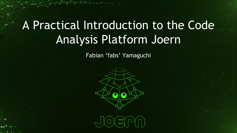# A Practical Introduction to the Code Analysis Platform Joern

 $\omega$ 

int

MAX +

Fabian 'fabs' Yamaguchi

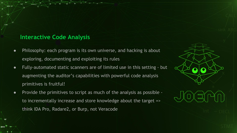### **Interactive Code Analysis**

(y)

- Philosophy: each program is its own universe, and hacking is about exploring, documenting and exploiting its rules
- Fully-automated static scanners are of limited use in this setting but augmenting the auditor's capabilities with powerful code analysis primitives is fruitful!
- Provide the primitives to script as much of the analysis as possible to incrementally increase and store knowledge about the target => think IDA Pro, Radare2, or Burp, not Veracode

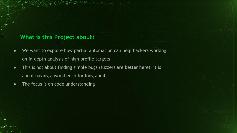### **What is this Project about?**

Ùł

int

**MAX** 

- We want to explore how partial automation can help hackers working on in-depth analysis of high profile targets
- This is not about finding simple bugs (fuzzers are better here), it is about having a workbench for long audits
- The focus is on code understanding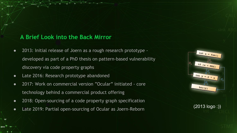### **A Brief Look into the Back Mirror**

(y)

init

**MAX** 

- 2013: Initial release of Joern as a rough research prototype developed as part of a PhD thesis on pattern-based vulnerability discovery via code property graphs
- Late 2016: Research prototype abandoned
- 2017: Work on commercial version "Ocular" initiated core technology behind a commercial product offering
- 2018: Open-sourcing of a code property graph specification
- Late 2019: Partial open-sourcing of Ocular as Joern-Reborn (2013 logo :))

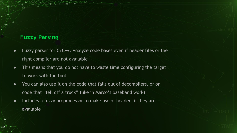### **Fuzzy Parsing**

Ùł

int

**MAX** 

- Fuzzy parser for C/C++. Analyze code bases even if header files or the right compiler are not available
- This means that you do not have to waste time configuring the target to work with the tool
- You can also use it on the code that falls out of decompilers, or on code that "fell off a truck" (like in Marco's baseband work)
- Includes a fuzzy preprocessor to make use of headers if they are available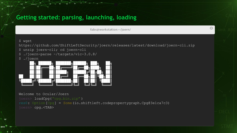### **Getting started: parsing, launching, loading**

fabs@workstation:~/joern/

#### \$ wget

ÙÆ

 $MAX-$ 

/sink

 $(\gamma)$ 

MAX<sup>int</sup>

https://github.com/ShiftLeftSecurity/joern/releases/latest/download/joern-cli.zip

\$ unzip joern-cli; cd joern-cli

- \$ ./joern-parse ~/targets/vlc-3.0.8/
- \$ ./joern



Welcome to Ocular/Joern joern> loadCpg("cpg.bin.zip" ) res0: Option[Cpg] = Some(io.shiftleft.codepropertygraph.Cpg@3e1ca7c3) joern> cpg.<TAB>

 $\odot$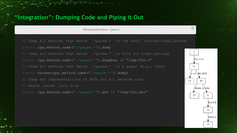### **"Integration": Dumping Code and Piping it Out**

Ù⊁

 $(\mathbf{w})$ 

MAX<sup>int</sup>

MAX X

fabs@workstation:~/joern/

// Dump all methods that match `.\*parse.\*` to the shell (syntax-highlighted) joern> cpg.method.name(".\*parse.\*").dump

// Dump all methods that match `.\*parse.\*` to file (no highlighting) joern> cpg.method.name(".\*parse.\*").dumpRaw |> "/tmp/foo.c" // View all methods that match  $\cdot$  \*parse.\* in a pager (e.g., less) joern> browse(cpg.method.name(".\*parse.\*").dump) // Dump dot representations of ASTs for all methods that

joern> cpg.method.name(".\*parse.\*").dot |> "/tmp/foo.dot"



 $\Omega$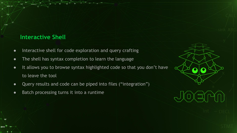### **Interactive Shell**

(y)

int

**MAX** 

MAX<sup>3</sup>

- Interactive shell for code exploration and query crafting
- The shell has syntax completion to learn the language
- It allows you to browse syntax highlighted code so that you don't have to leave the tool
- Query results and code can be piped into files ("integration")
- Batch processing turns it into a runtime

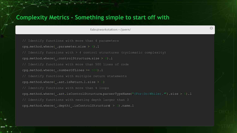### **Complexity Metrics - Something simple to start off with**

(y)

int

 $\textsf{MAX}^\top$ 

 $MAX-3$ 

fabs@workstation:~/joern/

 $\mathbb{C}$ 

```
// Identify functions with more than 4 parameters
cpg.method.where( .parameter.size > 4).l
  Identify functions with > 4 control structures (cyclomatic complexity)
cpq.method.where(\text{.controlStructure. size} > 4).l
// Identify functions with more than 500 lines of code
cpg.method.where( .numberOfLines >= 500).l
// Identify functions with multiple return statements
cpq.method.where(ast.isReturn.l.size > 1)
  Identify functions with more than 4 loops
cpg.method.where(.ast.isControlStructure.parserTypeName("(For|Do|While).*").size > 4).l
// Identify functions with nesting depth larger than 3
cpg.method.where( .depth( .isControlStructure) > 3).name.l
```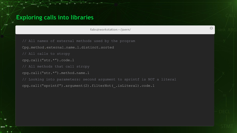### **Exploring calls into libraries**

ÙÆ

×

kink

 $(\mathbf{w})$ 

MAX<sup>int</sup>

 $MAX-3$ 

ÀŃ

fabs@workstation:~/joern/

 $\mathbf{C}$ 

// All names of external methods used by the program Cpg.method.external.name.l.distinct.sorted // All calls to strcpy cpg.call("str.\*").code.l // All methods that call strcpy cpg.call("str.\*").method.name.l // Looking into parameters: second argument to sprintf is NOT a literal cpg.call("sprintf").argument(2).filterNot(\_.isLiteral).code.l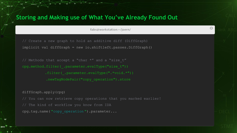### **Storing and Making use of What You've Already Found Out**

fabs@workstation:~/joern/

 $\mathbb{C}$ 

// Create a new graph to hold an additive diff (DiffGraph) implicit val diffGraph = new io.shiftleft.passes.DiffGraph()

// Methods that accept a "char \*" and a "size t" cpg.method.filter( .parameter.evalType("size t")) .filter( .parameter.evalType(".\*void.\*")) .newTagNodePair("copy\_operation").store

#### diffGraph.apply(cpg)

Ù⊁

 $\ast$ 

int

 $(\gamma)$ 

**MAX**<sup>int</sup>

 $MAX-3$ 

// You can now retrieve copy operations that you marked earlier! cpg.tag.name( "copy\_operation ").parameter...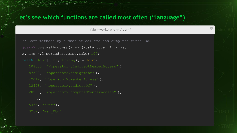### **Let's see which functions are called most often ("language")**

fabs@workstation:~/joern/

 $\mathbf{C}$ 

// Sort methods by number of callers and dump the first 100

 $\frac{1}{\pi}$  cpg.method.map(x => (x.start.callIn.size,

x.name)).l.sorted.reverse.take( 100)

res16: List[(Int, String)] = List(

(108003, "<operator>.indirectMemberAccess" ),

(87500, "<operator>.assignment" ),

(42012, "<operator>.memberAccess" ),

(22498, "<operator>.addressOf" ),

(20280, "<operator>.computedMemberAccess" ),

(5436, "free"),

...

ÙÆ

MAX X

kink

 $(\mathbf{w})$ 

MAX<sup>int</sup>

 $\mathbf{\hat{M}}$ 

(3262, "msg\_Dbg"),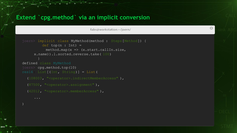### **Extend `cpg.method` via an implicit conversion**

fabs@workstation:~/joern/

 $\odot$ 

```
joern> implicit class MyMethod(method : Steps[Method]) {
         def top(n : Int) =method.mac<sub>p</sub>(x =&gt; (x.start-callIn.size,x.name)).l.sorted.reverse.take( 100)
defined class MyMethod
joern> cpg.method.top(10)
res16: List[(Int, String)] = List(
   (108003, "<operator>.indirectMemberAccess" ),
   (87500, "<operator>.assignment" ),
   (42012, "<operator>.memberAccess" ),
```
...

WE

MAX \*

sink

 $(\gamma)$ 

MAX<sup>int</sup>

ÀŃ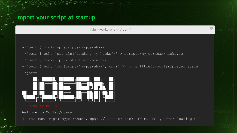### **Import your script at startup**

fabs@workstation:~/joern/

 $\mathbf{C}$ 

- ~/joern \$ mkdir -p scripts/myjoernhax/
- ~/joern \$ echo 'println("Loading my hacks")' > scripts/myjoernhax/hacks.sc
- ~/joern \$ mkdir -p ~/.shiftleft/ocular/
- ~/joern \$ echo 'runScript("myjoernhax", cpg)' >> ~/.shiftleft/ocular/predef.scala



ÙÆ

MAX X

/sink

 $(\gamma)$ 

MAX<sup>int</sup>



Welcome to Ocular/Joern

joern> runScript("myjoernhax", cpg) // <--- or kick-off manually after loading CPG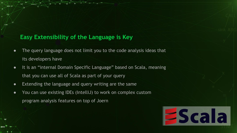### **Easy Extensibility of the Language is Key**

(y)

int

- The query language does not limit you to the code analysis ideas that its developers have
- It is an "internal Domain Specific Language" based on Scala, meaning that you can use all of Scala as part of your query
- Extending the language and query writing are the same
- You can use existing IDEs (IntelliJ) to work on complex custom program analysis features on top of Joern

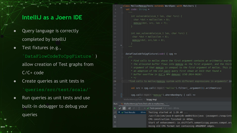### **IntelliJ as a Joern IDE**

- Query language is correctly completed by IntelliJ
- Test fixtures (e.g.,

(y)

MAX

`DataFlowCodeToCpgFixture` ) allow creation of Test graphs from C/C+ code

- Create queries as unit tests in `queries/src/test/scala/`
- Run queries as unit tests and use built-in debugger to debug your queries

```
class MallocMemcpyTests extends WordSpec with Matchers {
  val code: String =
```

```
memopy(dst, src, len + 7);
```

```
int non vulnerable(size t len, char *src) {
char *dst = malloc(len + 8);
memcpy(dst, src, len + 8);
```
Run:

G

DataFlowCodeToCpgFixture(code) { cpg => \* Find calls to malloc where the first argument contains an arithmetic expres \* the allocated buffer flows into memopy as the first argument, and the third \* argument of that memcpy is unequal to the first argument of malloc. This is \* an adaption of the old-joern query first shown at 31C3 that found a \* buffer overflow in VLC's MP4 demuxer (CVE-2014-9626). "find calls to malloc/memcpy system with different expressions in arguments" in val src = cpg.call(regex= "malloc").filter( .argument(1).arithmetics) cpg.call(regex="memcpy").whereNonEmpty { call => MallocMemcpyTests >  $\lambda$ (cpg: Any) 4. MallocMemcpyTests.find calls to malloc/me... >> V Tests passed: 1 of 1 test - 69 ms  $\downarrow^{\frac{3}{2}}$ Testing started at 1:39 AM ...  $\blacktriangledown$   $\blacktriangledown$  Test Results 69 ms /usr/lib/jvm/java-8-openjdk-amd64/bin/java -javaagent:/snap/inte

CPG construction finished in 485ms. Start of enhancement: io.shiftleft.semanticcpg.passes.compat.ard Using old CPG format not containing ARGUMENT edges.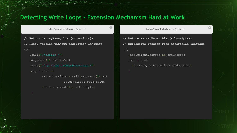### **Detecting Write Loops - Extension Mechanism Hard at Work**

 $\odot$ 

#### fabs@workstation:~/joern/

**// Return (arrayName, List(subscripts))**

**// Noisy version without decoration language**

```
cpg
```

```
 .call(".*assign.*")
 .argument(1).ast.isCall
 .name(".*op.*computedMemberAccess.*")
.map \{ call \Rightarrowval subscripts = call.argument(2).ast
                     .isIdentifier.code.toSet
```

```
 (call.argument(1), subscripts)
```
fabs@workstation:~/joern/

 $\odot$ 

```
// Return (arrayName, List(subscripts))
// Expressive version with decoration language
cpg
    .assignment.target.isArrayAccess
   .map { a \Rightarrow (a.array, a.subscripts.code.toSet)
```
Ù⊁

 $\star$ 

int

MAX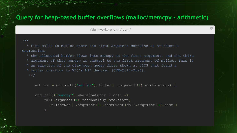### **Query for heap-based buffer overflows (malloc/memcpy - arithmetic)**

fabs@workstation:~/joern/

 $\mathbf{C}$ 

Ù⊁

int

 $(\mathbf{w})$ 

**MAX**<sup>int</sup>

 $MAX-3$ 

 \* Find calls to malloc where the first argument contains an arithmetic expression,

- \* the allocated buffer flows into memcpy as the first argument, and the third
- \* argument of that memcpy is unequal to the first argument of malloc. This is
- \* an adaption of the old-joern query first shown at 31C3 that found a
- \* buffer overflow in VLC's MP4 demuxer (CVE-2014-9626).

val src = cpg.call("malloc").filter(\_.argument(1).arithmetics ).l

```
 cpg.call("memcpy").whereNonEmpty { call =>
    call .argument(1).reachableBy (src.start)
      .filterNot (\ldotsargument(1).codeExact(call.argument(3).code))
```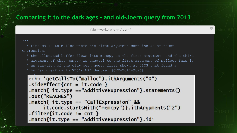### **Comparing it to the dark ages - and old-Joern query from 2013**

fabs@workstation:~/joern/

(y)

int

**MAX**<sup>int</sup>

MAX +

 \* Find calls to malloc where the first argument contains an arithmetic expression,

- \* the allocated buffer flows into memcpy as the first argument, and the third
- \* argument of that memcpy is unequal to the first argument of malloc. This is
- \* an adaption of the old-joern query first shown at 31C3 that found a
- \* buffer overflow in VLC's MP4 demuxer (CVE-2014-9626).

```
echo 'qetCallsTo("malloc").ithArguments("0")
   sideEffect{cnt = it.code }.match{ it.pye == "AdditiveExpression"}.statements()
   .out("REACHES")
   .match{ it.pype == "CallExpression" &&
\frac{1}{2}.filter.filternotedExactions.filterno.filterno.filternotedExactions.filternotedExactions.filternotedExactions.filternotedExactions.filternotedExactions.filternotedExactions.filternotedExactions.filternotedExactio
 }
   match\{it.\ttype == "AdditiveExpression"\}.id'
```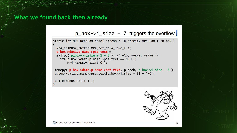### **What we found back then already**

Ùŧ

ink

MAX

### $p_{\text{1}}$ box->i\_size = 7 triggers the overflow

```
static int MP4_ReadBox_name( stream_t *p_stream, MP4_Box_t *p_box )
 MP4_READBOX_ENTER( MP4_Box_data_name_t );
  p_box->data.p_name->psz_text =
 malloc( p_{box} > i size + 1 - 8 ); /* + \0, -name, -size */
    if( p_{box->data.p_name->psz_test == NULL )MP4_READBOX_EXIT(0):
memcpy(p_box->data.p_name->psz_text, p_peek, p_box->i_size - 8);
 p_{box}\rightarrow data.p_name\rightarrow psz_text[p_{box}\rightarrow i_size - 8] = '\0';MP4_READBOX_EXIT(1);
```


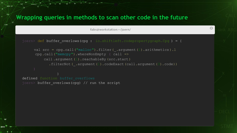### **Wrapping queries in methods to scan other code in the future**

fabs@workstation:~/joern/

 $\mathbb{C}$ 

```
joern> def buffer overlows(cpg : io.shiftleft.codepropertygraph.Cpg ) = {
```

```
val src = cpg.call("malloc").filter( .argument(1).arithmetics).l
 cpg.call("memcpy").whereNonEmpty { call =>
    call.argument(1).reachableBy (src.start)
       .filterNot(_.argument(1).codeExact(call.argument(3).code))
```
defined function buffer overflows joern> buffer overlows(cpg) // run the script

ÙÆ

×

int

 $(\mathbf{w})$ 

MAX<sup>int</sup>

MAX X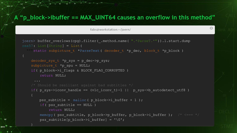### **A "p\_block->ibuffer == MAX\_UINT64 causes an overflow in this method"**

 $\mathbb{C}$ 

fabs@workstation:~/joern/

ÙÆ

int

MAX<sup>int</sup>

MAX \*

```
joern> buffer overlows(cpg).filter( .method.name( ".*ParseT.*")).l.start.dump
res57: List[String] = List(
  " static subpicture t *ParseText( decoder t *p_dec, block t *p_block)
    decoder sys t \rightarrow p sys = p dec->p_sys;
    subpicture t *p spu = NULL;
     if( p_block->i_flags & BLOCK_FLAG_CORRUPTED )
         return NULL;
     /* Should be resiliant against bad subtitles */
    if( p_sys->iconv_handle == (vlc_iconv_t)-1 || p_sys->b_autodetect_utf8 )
        psz subtitle = malloc( p block->i buffer + 1 );
         if( psz_subtitle == NULL )
             return NULL;
        memcpy( psz_subtitle, p_block->p_buffer, p_block->i_buffer ); /* <=== */
        psz_subtitle[p_block->i_buffer] = '\0';
```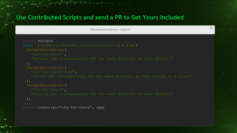### **Use Contributed Scripts and send a PR to Get Yours Included**

ÙÆ

 $(\mathbf{w})$ 

MAX<sup>int</sup>

MAX X

fabs@workstation:~/joern/

```
joern> scripts
res22: List[ScriptManager .ScriptDescription ] = List(
   ScriptDescription (
     "ast-for-funcs" ,
     "Returns the corresponding AST for each function as Json object."
   ),
     "ast-for-funcs-dump" ,
   ),
     "cfg-for-funcs" ,
     "Returns the corresponding CFG for each function as Json object."
   ),
  ...
joern> runScript("cfg-for-funcs", cpg)
```
 $\odot$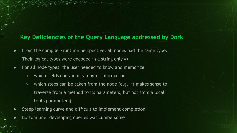### **Key Deficiencies of the Query Language addressed by Dork**

- From the compiler/runtime perspective, all nodes had the same type. Their logical types were encoded in a string only =>
- For all node types, the user needed to know and memorize
	- which fields contain meaningful information

(y)

int

- which steps can be taken from the node (e.g., it makes sense to traverse from a method to its parameters, but not from a local to its parameters)
- Steep learning curve and difficult to implement completion.
- $\bullet$  Bottom line: developing queries was cumbersome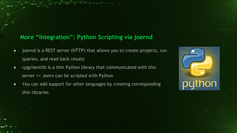### **More "Integration": Python Scripting via joernd**

(y)

int

**MAX** 

MAX +

- joernd is a REST server (HTTP) that allows you to create projects, run queries, and read back results
- cpgclientlib is a thin Python library that communicated with this server => Joern can be scripted with Python
- You can add support for other languages by creating corresponding thin libraries

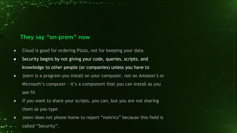### **They say "on-prem" now**

(y)

ink

- Cloud is good for ordering Pizza, not for keeping your data
- Security begins by not giving your code, queries, scripts, and knowledge to other people (or companies) unless you have to
- Joern is a program you install on your computer, not on Amazon's or Microsoft's computer - it's a component that you can install as you see fit
- If you want to share your scripts, you can, but you are not sharing them as you type
- Joern does not phone home to report "metrics" because this field is called "Security".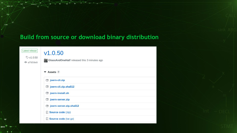### **Build from source or download binary distribution**

Ùŧ

 $\ast$ 

MAX

MAX X

source

| Latest release<br>V1.0.50<br>$  af659e0$ | V1.0.50<br><b>ClassAndOneHalf</b> released this 3 minutes ago |
|------------------------------------------|---------------------------------------------------------------|
|                                          | <b>Example 3</b>                                              |
|                                          | ijoern-cli.zip                                                |
|                                          | joern-cli.zip.sha512                                          |
|                                          | ijoern-install.sh                                             |
|                                          | ioern-server.zip                                              |
|                                          | joern-server.zip.sha512                                       |
|                                          | Source code (zip)                                             |
|                                          | Source code (tar.gz)                                          |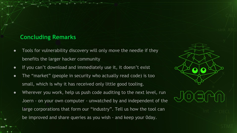### **Concluding Remarks**

(y)

- Tools for vulnerability discovery will only move the needle if they benefits the larger hacker community
- If you can't download and immediately use it, it doesn't exist
- The "market" (people in security who actually read code) is too small, which is why it has received only little good tooling.
- Wherever you work, help us push code auditing to the next level, run Joern - on your own computer - unwatched by and independent of the large corporations that form our "industry". Tell us how the tool can be improved and share queries as you wish - and keep your 0day.

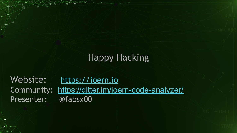## Happy Hacking

Website: <https://joern.io> Community: <https://gitter.im/joern-code-analyzer/> Presenter: @fabsx00

ÙŦ

int

MAX

MAX<sub>\*</sub>